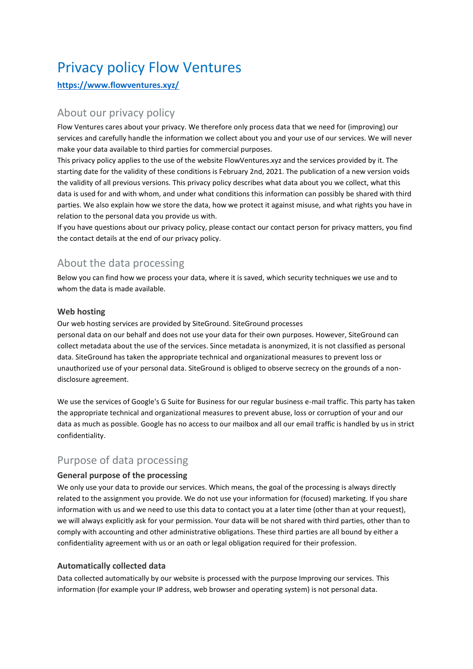# Privacy policy Flow Ventures

### **<https://www.flowventures.xyz/>**

# About our privacy policy

Flow Ventures cares about your privacy. We therefore only process data that we need for (improving) our services and carefully handle the information we collect about you and your use of our services. We will never make your data available to third parties for commercial purposes.

This privacy policy applies to the use of the website FlowVentures.xyz and the services provided by it. The starting date for the validity of these conditions is February 2nd, 2021. The publication of a new version voids the validity of all previous versions. This privacy policy describes what data about you we collect, what this data is used for and with whom, and under what conditions this information can possibly be shared with third parties. We also explain how we store the data, how we protect it against misuse, and what rights you have in relation to the personal data you provide us with.

If you have questions about our privacy policy, please contact our contact person for privacy matters, you find the contact details at the end of our privacy policy.

# About the data processing

Below you can find how we process your data, where it is saved, which security techniques we use and to whom the data is made available.

#### **Web hosting**

Our web hosting services are provided by SiteGround. SiteGround processes personal data on our behalf and does not use your data for their own purposes. However, SiteGround can collect metadata about the use of the services. Since metadata is anonymized, it is not classified as personal data. SiteGround has taken the appropriate technical and organizational measures to prevent loss or unauthorized use of your personal data. SiteGround is obliged to observe secrecy on the grounds of a nondisclosure agreement.

We use the services of Google's G Suite for Business for our regular business e-mail traffic. This party has taken the appropriate technical and organizational measures to prevent abuse, loss or corruption of your and our data as much as possible. Google has no access to our mailbox and all our email traffic is handled by us in strict confidentiality.

# Purpose of data processing

#### **General purpose of the processing**

We only use your data to provide our services. Which means, the goal of the processing is always directly related to the assignment you provide. We do not use your information for (focused) marketing. If you share information with us and we need to use this data to contact you at a later time (other than at your request), we will always explicitly ask for your permission. Your data will be not shared with third parties, other than to comply with accounting and other administrative obligations. These third parties are all bound by either a confidentiality agreement with us or an oath or legal obligation required for their profession.

### **Automatically collected data**

Data collected automatically by our website is processed with the purpose Improving our services. This information (for example your IP address, web browser and operating system) is not personal data.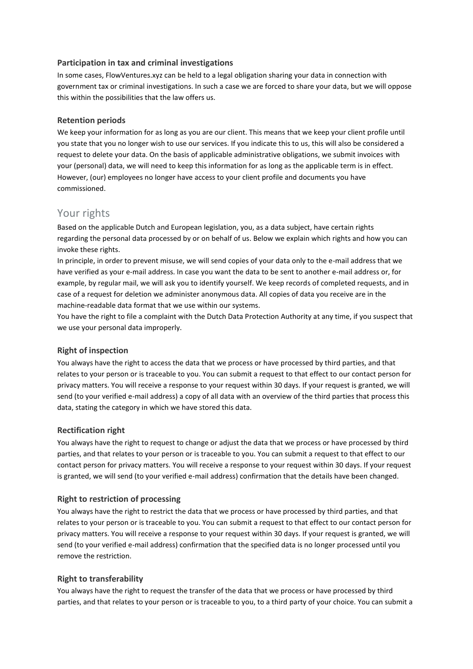#### **Participation in tax and criminal investigations**

In some cases, FlowVentures.xyz can be held to a legal obligation sharing your data in connection with government tax or criminal investigations. In such a case we are forced to share your data, but we will oppose this within the possibilities that the law offers us.

#### **Retention periods**

We keep your information for as long as you are our client. This means that we keep your client profile until you state that you no longer wish to use our services. If you indicate this to us, this will also be considered a request to delete your data. On the basis of applicable administrative obligations, we submit invoices with your (personal) data, we will need to keep this information for as long as the applicable term is in effect. However, (our) employees no longer have access to your client profile and documents you have commissioned.

### Your rights

Based on the applicable Dutch and European legislation, you, as a data subject, have certain rights regarding the personal data processed by or on behalf of us. Below we explain which rights and how you can invoke these rights.

In principle, in order to prevent misuse, we will send copies of your data only to the e-mail address that we have verified as your e-mail address. In case you want the data to be sent to another e-mail address or, for example, by regular mail, we will ask you to identify yourself. We keep records of completed requests, and in case of a request for deletion we administer anonymous data. All copies of data you receive are in the machine-readable data format that we use within our systems.

You have the right to file a complaint with the Dutch Data Protection Authority at any time, if you suspect that we use your personal data improperly.

#### **Right of inspection**

You always have the right to access the data that we process or have processed by third parties, and that relates to your person or is traceable to you. You can submit a request to that effect to our contact person for privacy matters. You will receive a response to your request within 30 days. If your request is granted, we will send (to your verified e-mail address) a copy of all data with an overview of the third parties that process this data, stating the category in which we have stored this data.

#### **Rectification right**

You always have the right to request to change or adjust the data that we process or have processed by third parties, and that relates to your person or is traceable to you. You can submit a request to that effect to our contact person for privacy matters. You will receive a response to your request within 30 days. If your request is granted, we will send (to your verified e-mail address) confirmation that the details have been changed.

#### **Right to restriction of processing**

You always have the right to restrict the data that we process or have processed by third parties, and that relates to your person or is traceable to you. You can submit a request to that effect to our contact person for privacy matters. You will receive a response to your request within 30 days. If your request is granted, we will send (to your verified e-mail address) confirmation that the specified data is no longer processed until you remove the restriction.

#### **Right to transferability**

You always have the right to request the transfer of the data that we process or have processed by third parties, and that relates to your person or is traceable to you, to a third party of your choice. You can submit a